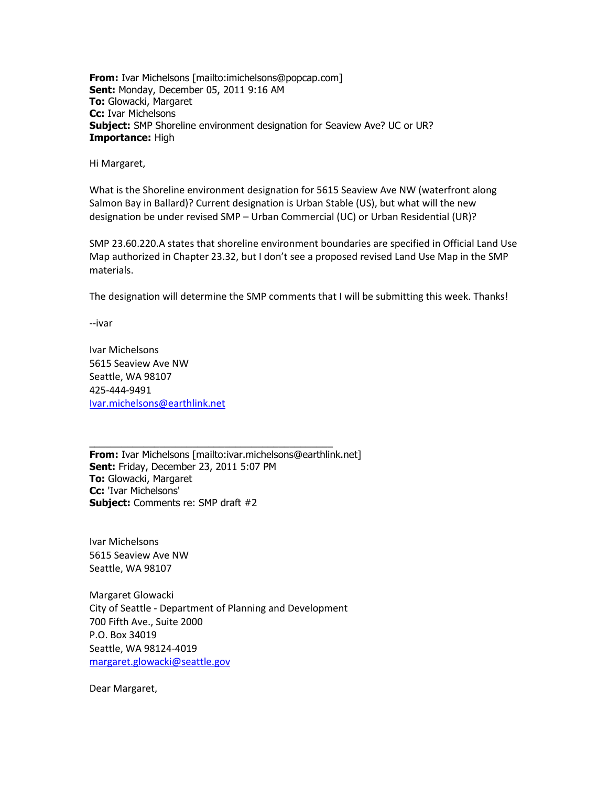**From:** Ivar Michelsons [mailto:imichelsons@popcap.com] **Sent:** Monday, December 05, 2011 9:16 AM **To:** Glowacki, Margaret **Cc:** Ivar Michelsons **Subject:** SMP Shoreline environment designation for Seaview Ave? UC or UR? **Importance:** High

Hi Margaret,

What is the Shoreline environment designation for 5615 Seaview Ave NW (waterfront along Salmon Bay in Ballard)? Current designation is Urban Stable (US), but what will the new designation be under revised SMP – Urban Commercial (UC) or Urban Residential (UR)?

SMP 23.60.220.A states that shoreline environment boundaries are specified in Official Land Use Map authorized in Chapter 23.32, but I don't see a proposed revised Land Use Map in the SMP materials.

The designation will determine the SMP comments that I will be submitting this week. Thanks!

--ivar

Ivar Michelsons 5615 Seaview Ave NW Seattle, WA 98107 425-444-9491 [Ivar.michelsons@earthlink.net](mailto:Ivar.michelsons@earthlink.net)

\_\_\_\_\_\_\_\_\_\_\_\_\_\_\_\_\_\_\_\_\_\_\_\_\_\_\_\_\_\_\_\_\_\_\_\_\_\_\_\_\_\_\_\_\_ **From:** Ivar Michelsons [mailto:ivar.michelsons@earthlink.net] **Sent:** Friday, December 23, 2011 5:07 PM **To:** Glowacki, Margaret **Cc:** 'Ivar Michelsons' **Subject:** Comments re: SMP draft #2

Ivar Michelsons 5615 Seaview Ave NW Seattle, WA 98107

Margaret Glowacki City of Seattle - Department of Planning and Development 700 Fifth Ave., Suite 2000 P.O. Box 34019 Seattle, WA 98124-4019 [margaret.glowacki@seattle.gov](mailto:margaret.glowacki@seattle.gov)

Dear Margaret,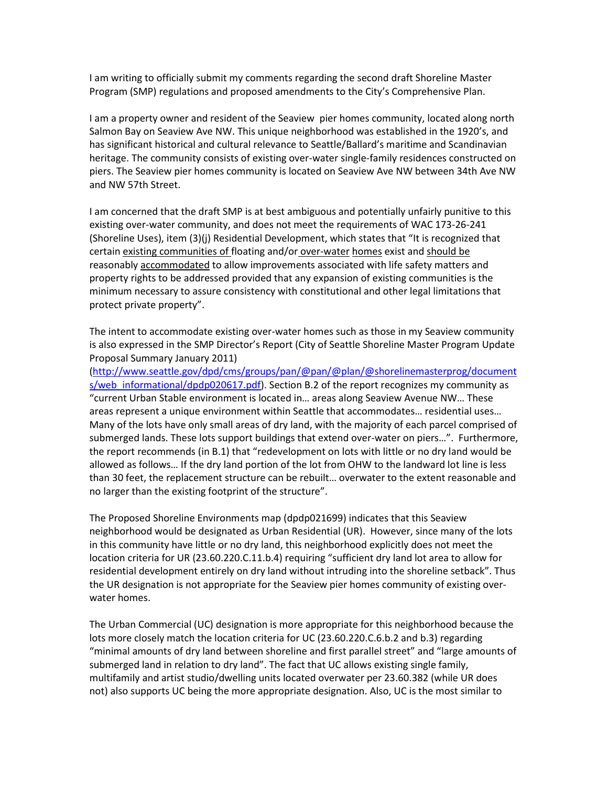I am writing to officially submit my comments regarding the second draft Shoreline Master Program (SMP) regulations and proposed amendments to the City's Comprehensive Plan.

I am a property owner and resident of the Seaview pier homes community, located along north Salmon Bay on Seaview Ave NW. This unique neighborhood was established in the 1920's, and has significant historical and cultural relevance to Seattle/Ballard's maritime and Scandinavian heritage. The community consists of existing over-water single-family residences constructed on piers. The Seaview pier homes community is located on Seaview Ave NW between 34th Ave NW and NW 57th Street.

I am concerned that the draft SMP is at best ambiguous and potentially unfairly punitive to this existing over-water community, and does not meet the requirements of WAC 173-26-241 (Shoreline Uses), item (3)(j) Residential Development, which states that "It is recognized that certain existing communities of floating and/or over-water homes exist and should be reasonably accommodated to allow improvements associated with life safety matters and property rights to be addressed provided that any expansion of existing communities is the minimum necessary to assure consistency with constitutional and other legal limitations that protect private property".

The intent to accommodate existing over-water homes such as those in my Seaview community is also expressed in the SMP Director's Report (City of Seattle Shoreline Master Program Update Proposal Summary January 2011)

[\(http://www.seattle.gov/dpd/cms/groups/pan/@pan/@plan/@shorelinemasterprog/document](http://www.seattle.gov/dpd/cms/groups/pan/@pan/@plan/@shorelinemasterprog/documents/web_informational/dpdp020617.pdf) s/web informational/dpdp020617.pdf). Section B.2 of the report recognizes my community as "current Urban Stable environment is located in… areas along Seaview Avenue NW… These areas represent a unique environment within Seattle that accommodates… residential uses… Many of the lots have only small areas of dry land, with the majority of each parcel comprised of submerged lands. These lots support buildings that extend over-water on piers…". Furthermore, the report recommends (in B.1) that "redevelopment on lots with little or no dry land would be allowed as follows… If the dry land portion of the lot from OHW to the landward lot line is less than 30 feet, the replacement structure can be rebuilt… overwater to the extent reasonable and no larger than the existing footprint of the structure".

The Proposed Shoreline Environments map (dpdp021699) indicates that this Seaview neighborhood would be designated as Urban Residential (UR). However, since many of the lots in this community have little or no dry land, this neighborhood explicitly does not meet the location criteria for UR (23.60.220.C.11.b.4) requiring "sufficient dry land lot area to allow for residential development entirely on dry land without intruding into the shoreline setback". Thus the UR designation is not appropriate for the Seaview pier homes community of existing overwater homes.

The Urban Commercial (UC) designation is more appropriate for this neighborhood because the lots more closely match the location criteria for UC (23.60.220.C.6.b.2 and b.3) regarding "minimal amounts of dry land between shoreline and first parallel street" and "large amounts of submerged land in relation to dry land". The fact that UC allows existing single family, multifamily and artist studio/dwelling units located overwater per 23.60.382 (while UR does not) also supports UC being the more appropriate designation. Also, UC is the most similar to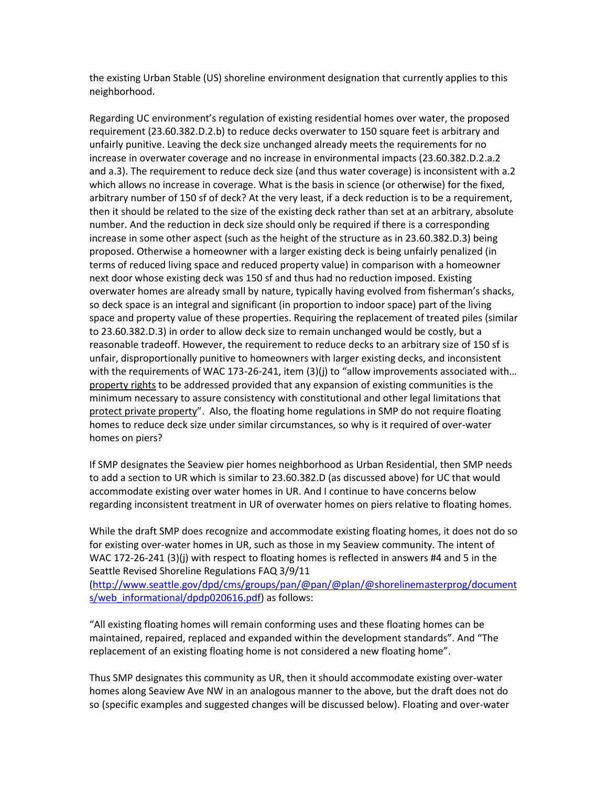the existing Urban Stable (US) shoreline environment designation that currently applies to this neighborhood.

Regarding UC environment's regulation of existing residential homes over water, the proposed requirement (23.60.382.D.2.b) to reduce decks overwater to 150 square feet is arbitrary and unfairly punitive. Leaving the deck size unchanged already meets the requirements for no increase in overwater coverage and no increase in environmental impacts (23.60.382.D.2.a.2 and a.3). The requirement to reduce deck size (and thus water coverage) is inconsistent with a.2 which allows no increase in coverage. What is the basis in science (or otherwise) for the fixed, arbitrary number of 150 sf of deck? At the very least, if a deck reduction is to be a requirement, then it should be related to the size of the existing deck rather than set at an arbitrary, absolute number. And the reduction in deck size should only be required if there is a corresponding increase in some other aspect (such as the height of the structure as in 23.60.382.D.3) being proposed. Otherwise a homeowner with a larger existing deck is being unfairly penalized (in terms of reduced living space and reduced property value) in comparison with a homeowner next door whose existing deck was 150 sf and thus had no reduction imposed. Existing overwater homes are already small by nature, typically having evolved from fisherman's shacks, so deck space is an integral and significant (in proportion to indoor space) part of the living space and property value of these properties. Requiring the replacement of treated piles (similar to 23.60.382.D.3) in order to allow deck size to remain unchanged would be costly, but a reasonable tradeoff. However, the requirement to reduce decks to an arbitrary size of 150 sf is unfair, disproportionally punitive to homeowners with larger existing decks, and inconsistent with the requirements of WAC 173-26-241, item (3)(j) to "allow improvements associated with... property rights to be addressed provided that any expansion of existing communities is the minimum necessary to assure consistency with constitutional and other legal limitations that protect private property". Also, the floating home regulations in SMP do not require floating homes to reduce deck size under similar circumstances, so why is it required of over-water homes on piers?

If SMP designates the Seaview pier homes neighborhood as Urban Residential, then SMP needs to add a section to UR which is similar to 23.60.382.D (as discussed above) for UC that would accommodate existing over water homes in UR. And I continue to have concerns below regarding inconsistent treatment in UR of overwater homes on piers relative to floating homes.

While the draft SMP does recognize and accommodate existing floating homes, it does not do so for existing over-water homes in UR, such as those in my Seaview community. The intent of WAC 172-26-241 (3)(j) with respect to floating homes is reflected in answers #4 and 5 in the Seattle Revised Shoreline Regulations FAQ 3/9/11

[\(http://www.seattle.gov/dpd/cms/groups/pan/@pan/@plan/@shorelinemasterprog/document](http://www.seattle.gov/dpd/cms/groups/pan/@pan/@plan/@shorelinemasterprog/documents/web_informational/dpdp020616.pdf) s/web informational/dpdp020616.pdf) as follows:

"All existing floating homes will remain conforming uses and these floating homes can be maintained, repaired, replaced and expanded within the development standards". And "The replacement of an existing floating home is not considered a new floating home".

Thus SMP designates this community as UR, then it should accommodate existing over-water homes along Seaview Ave NW in an analogous manner to the above, but the draft does not do so (specific examples and suggested changes will be discussed below). Floating and over-water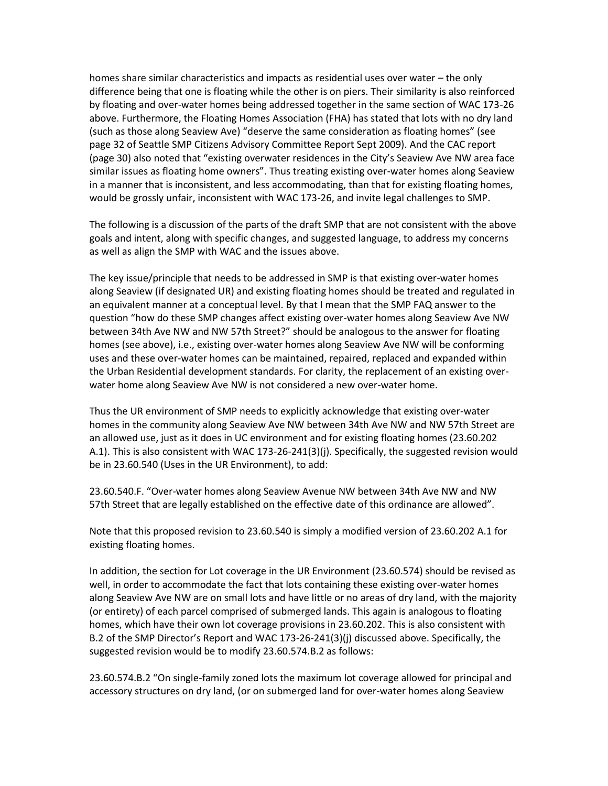homes share similar characteristics and impacts as residential uses over water – the only difference being that one is floating while the other is on piers. Their similarity is also reinforced by floating and over-water homes being addressed together in the same section of WAC 173-26 above. Furthermore, the Floating Homes Association (FHA) has stated that lots with no dry land (such as those along Seaview Ave) "deserve the same consideration as floating homes" (see page 32 of Seattle SMP Citizens Advisory Committee Report Sept 2009). And the CAC report (page 30) also noted that "existing overwater residences in the City's Seaview Ave NW area face similar issues as floating home owners". Thus treating existing over-water homes along Seaview in a manner that is inconsistent, and less accommodating, than that for existing floating homes, would be grossly unfair, inconsistent with WAC 173-26, and invite legal challenges to SMP.

The following is a discussion of the parts of the draft SMP that are not consistent with the above goals and intent, along with specific changes, and suggested language, to address my concerns as well as align the SMP with WAC and the issues above.

The key issue/principle that needs to be addressed in SMP is that existing over-water homes along Seaview (if designated UR) and existing floating homes should be treated and regulated in an equivalent manner at a conceptual level. By that I mean that the SMP FAQ answer to the question "how do these SMP changes affect existing over-water homes along Seaview Ave NW between 34th Ave NW and NW 57th Street?" should be analogous to the answer for floating homes (see above), i.e., existing over-water homes along Seaview Ave NW will be conforming uses and these over-water homes can be maintained, repaired, replaced and expanded within the Urban Residential development standards. For clarity, the replacement of an existing overwater home along Seaview Ave NW is not considered a new over-water home.

Thus the UR environment of SMP needs to explicitly acknowledge that existing over-water homes in the community along Seaview Ave NW between 34th Ave NW and NW 57th Street are an allowed use, just as it does in UC environment and for existing floating homes (23.60.202 A.1). This is also consistent with WAC 173-26-241(3)(j). Specifically, the suggested revision would be in 23.60.540 (Uses in the UR Environment), to add:

23.60.540.F. "Over-water homes along Seaview Avenue NW between 34th Ave NW and NW 57th Street that are legally established on the effective date of this ordinance are allowed".

Note that this proposed revision to 23.60.540 is simply a modified version of 23.60.202 A.1 for existing floating homes.

In addition, the section for Lot coverage in the UR Environment (23.60.574) should be revised as well, in order to accommodate the fact that lots containing these existing over-water homes along Seaview Ave NW are on small lots and have little or no areas of dry land, with the majority (or entirety) of each parcel comprised of submerged lands. This again is analogous to floating homes, which have their own lot coverage provisions in 23.60.202. This is also consistent with B.2 of the SMP Director's Report and WAC 173-26-241(3)(j) discussed above. Specifically, the suggested revision would be to modify 23.60.574.B.2 as follows:

23.60.574.B.2 "On single-family zoned lots the maximum lot coverage allowed for principal and accessory structures on dry land, (or on submerged land for over-water homes along Seaview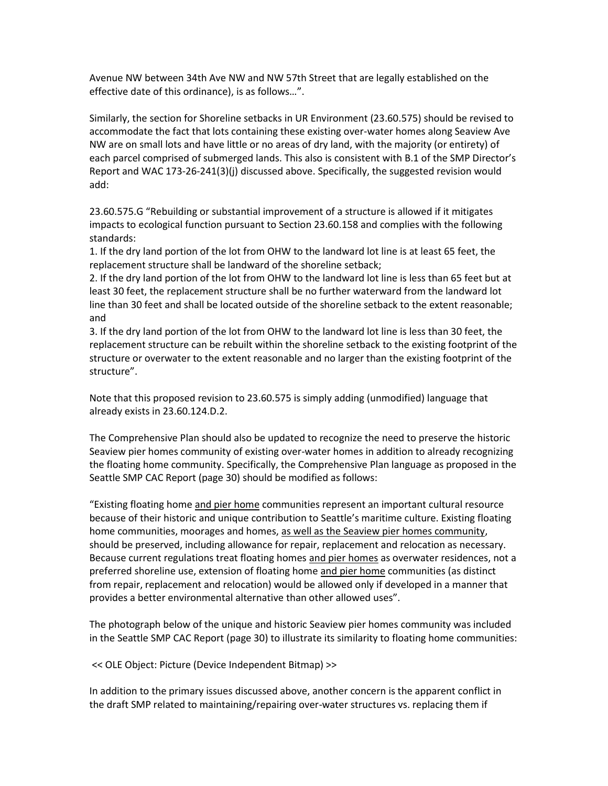Avenue NW between 34th Ave NW and NW 57th Street that are legally established on the effective date of this ordinance), is as follows…".

Similarly, the section for Shoreline setbacks in UR Environment (23.60.575) should be revised to accommodate the fact that lots containing these existing over-water homes along Seaview Ave NW are on small lots and have little or no areas of dry land, with the majority (or entirety) of each parcel comprised of submerged lands. This also is consistent with B.1 of the SMP Director's Report and WAC 173-26-241(3)(j) discussed above. Specifically, the suggested revision would add:

23.60.575.G "Rebuilding or substantial improvement of a structure is allowed if it mitigates impacts to ecological function pursuant to Section 23.60.158 and complies with the following standards:

1. If the dry land portion of the lot from OHW to the landward lot line is at least 65 feet, the replacement structure shall be landward of the shoreline setback;

2. If the dry land portion of the lot from OHW to the landward lot line is less than 65 feet but at least 30 feet, the replacement structure shall be no further waterward from the landward lot line than 30 feet and shall be located outside of the shoreline setback to the extent reasonable; and

3. If the dry land portion of the lot from OHW to the landward lot line is less than 30 feet, the replacement structure can be rebuilt within the shoreline setback to the existing footprint of the structure or overwater to the extent reasonable and no larger than the existing footprint of the structure".

Note that this proposed revision to 23.60.575 is simply adding (unmodified) language that already exists in 23.60.124.D.2.

The Comprehensive Plan should also be updated to recognize the need to preserve the historic Seaview pier homes community of existing over-water homes in addition to already recognizing the floating home community. Specifically, the Comprehensive Plan language as proposed in the Seattle SMP CAC Report (page 30) should be modified as follows:

"Existing floating home and pier home communities represent an important cultural resource because of their historic and unique contribution to Seattle's maritime culture. Existing floating home communities, moorages and homes, as well as the Seaview pier homes community, should be preserved, including allowance for repair, replacement and relocation as necessary. Because current regulations treat floating homes and pier homes as overwater residences, not a preferred shoreline use, extension of floating home and pier home communities (as distinct from repair, replacement and relocation) would be allowed only if developed in a manner that provides a better environmental alternative than other allowed uses".

The photograph below of the unique and historic Seaview pier homes community was included in the Seattle SMP CAC Report (page 30) to illustrate its similarity to floating home communities:

<< OLE Object: Picture (Device Independent Bitmap) >>

In addition to the primary issues discussed above, another concern is the apparent conflict in the draft SMP related to maintaining/repairing over-water structures vs. replacing them if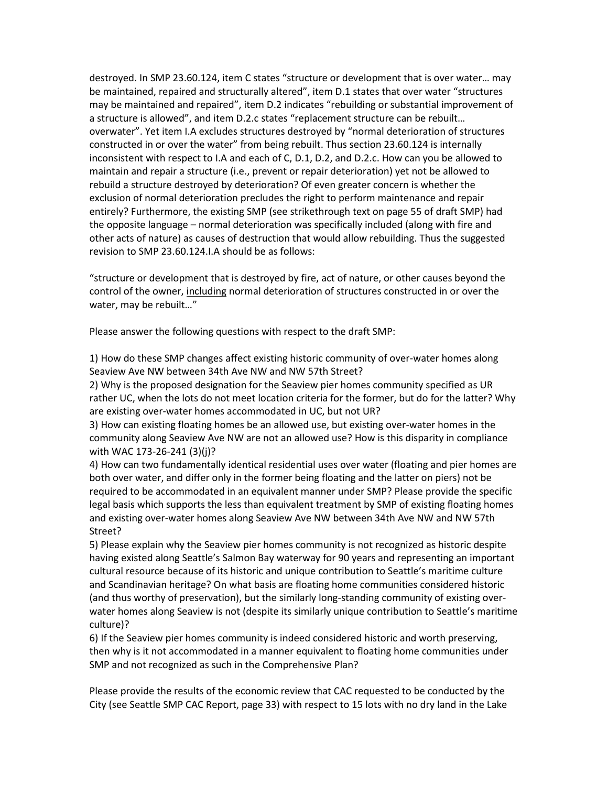destroyed. In SMP 23.60.124, item C states "structure or development that is over water… may be maintained, repaired and structurally altered", item D.1 states that over water "structures may be maintained and repaired", item D.2 indicates "rebuilding or substantial improvement of a structure is allowed", and item D.2.c states "replacement structure can be rebuilt… overwater". Yet item I.A excludes structures destroyed by "normal deterioration of structures constructed in or over the water" from being rebuilt. Thus section 23.60.124 is internally inconsistent with respect to I.A and each of C, D.1, D.2, and D.2.c. How can you be allowed to maintain and repair a structure (i.e., prevent or repair deterioration) yet not be allowed to rebuild a structure destroyed by deterioration? Of even greater concern is whether the exclusion of normal deterioration precludes the right to perform maintenance and repair entirely? Furthermore, the existing SMP (see strikethrough text on page 55 of draft SMP) had the opposite language – normal deterioration was specifically included (along with fire and other acts of nature) as causes of destruction that would allow rebuilding. Thus the suggested revision to SMP 23.60.124.I.A should be as follows:

"structure or development that is destroyed by fire, act of nature, or other causes beyond the control of the owner, including normal deterioration of structures constructed in or over the water, may be rebuilt…"

Please answer the following questions with respect to the draft SMP:

1) How do these SMP changes affect existing historic community of over-water homes along Seaview Ave NW between 34th Ave NW and NW 57th Street?

2) Why is the proposed designation for the Seaview pier homes community specified as UR rather UC, when the lots do not meet location criteria for the former, but do for the latter? Why are existing over-water homes accommodated in UC, but not UR?

3) How can existing floating homes be an allowed use, but existing over-water homes in the community along Seaview Ave NW are not an allowed use? How is this disparity in compliance with WAC 173-26-241 (3)(j)?

4) How can two fundamentally identical residential uses over water (floating and pier homes are both over water, and differ only in the former being floating and the latter on piers) not be required to be accommodated in an equivalent manner under SMP? Please provide the specific legal basis which supports the less than equivalent treatment by SMP of existing floating homes and existing over-water homes along Seaview Ave NW between 34th Ave NW and NW 57th Street?

5) Please explain why the Seaview pier homes community is not recognized as historic despite having existed along Seattle's Salmon Bay waterway for 90 years and representing an important cultural resource because of its historic and unique contribution to Seattle's maritime culture and Scandinavian heritage? On what basis are floating home communities considered historic (and thus worthy of preservation), but the similarly long-standing community of existing overwater homes along Seaview is not (despite its similarly unique contribution to Seattle's maritime culture)?

6) If the Seaview pier homes community is indeed considered historic and worth preserving, then why is it not accommodated in a manner equivalent to floating home communities under SMP and not recognized as such in the Comprehensive Plan?

Please provide the results of the economic review that CAC requested to be conducted by the City (see Seattle SMP CAC Report, page 33) with respect to 15 lots with no dry land in the Lake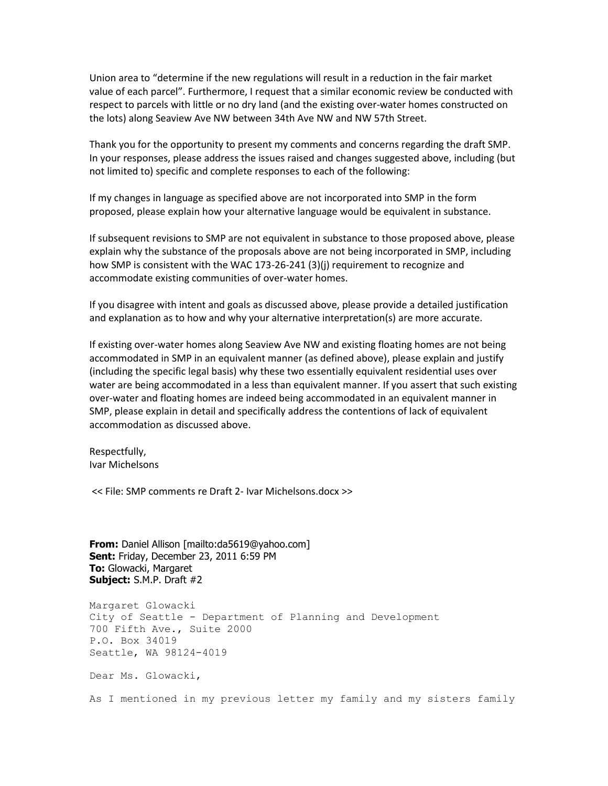Union area to "determine if the new regulations will result in a reduction in the fair market value of each parcel". Furthermore, I request that a similar economic review be conducted with respect to parcels with little or no dry land (and the existing over-water homes constructed on the lots) along Seaview Ave NW between 34th Ave NW and NW 57th Street.

Thank you for the opportunity to present my comments and concerns regarding the draft SMP. In your responses, please address the issues raised and changes suggested above, including (but not limited to) specific and complete responses to each of the following:

If my changes in language as specified above are not incorporated into SMP in the form proposed, please explain how your alternative language would be equivalent in substance.

If subsequent revisions to SMP are not equivalent in substance to those proposed above, please explain why the substance of the proposals above are not being incorporated in SMP, including how SMP is consistent with the WAC 173-26-241 (3)(j) requirement to recognize and accommodate existing communities of over-water homes.

If you disagree with intent and goals as discussed above, please provide a detailed justification and explanation as to how and why your alternative interpretation(s) are more accurate.

If existing over-water homes along Seaview Ave NW and existing floating homes are not being accommodated in SMP in an equivalent manner (as defined above), please explain and justify (including the specific legal basis) why these two essentially equivalent residential uses over water are being accommodated in a less than equivalent manner. If you assert that such existing over-water and floating homes are indeed being accommodated in an equivalent manner in SMP, please explain in detail and specifically address the contentions of lack of equivalent accommodation as discussed above.

Respectfully, Ivar Michelsons

<< File: SMP comments re Draft 2- Ivar Michelsons.docx >>

**From:** Daniel Allison [mailto:da5619@yahoo.com] **Sent:** Friday, December 23, 2011 6:59 PM **To:** Glowacki, Margaret **Subject:** S.M.P. Draft #2

Margaret Glowacki City of Seattle - Department of Planning and Development 700 Fifth Ave., Suite 2000 P.O. Box 34019 Seattle, WA 98124-4019 Dear Ms. Glowacki,

As I mentioned in my previous letter my family and my sisters family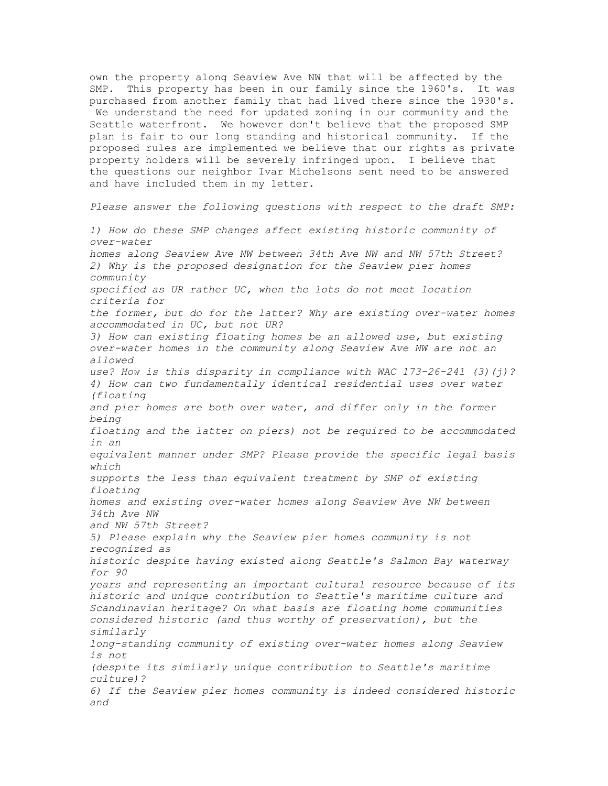own the property along Seaview Ave NW that will be affected by the SMP. This property has been in our family since the 1960's. It was purchased from another family that had lived there since the 1930's. We understand the need for updated zoning in our community and the Seattle waterfront. We however don't believe that the proposed SMP plan is fair to our long standing and historical community. If the proposed rules are implemented we believe that our rights as private property holders will be severely infringed upon. I believe that the questions our neighbor Ivar Michelsons sent need to be answered and have included them in my letter.

*Please answer the following questions with respect to the draft SMP:*

*1) How do these SMP changes affect existing historic community of over-water homes along Seaview Ave NW between 34th Ave NW and NW 57th Street? 2) Why is the proposed designation for the Seaview pier homes community specified as UR rather UC, when the lots do not meet location criteria for the former, but do for the latter? Why are existing over-water homes accommodated in UC, but not UR? 3) How can existing floating homes be an allowed use, but existing over-water homes in the community along Seaview Ave NW are not an allowed use? How is this disparity in compliance with WAC 173-26-241 (3)(j)? 4) How can two fundamentally identical residential uses over water (floating and pier homes are both over water, and differ only in the former being floating and the latter on piers) not be required to be accommodated in an equivalent manner under SMP? Please provide the specific legal basis which supports the less than equivalent treatment by SMP of existing floating homes and existing over-water homes along Seaview Ave NW between 34th Ave NW and NW 57th Street? 5) Please explain why the Seaview pier homes community is not recognized as historic despite having existed along Seattle's Salmon Bay waterway for 90 years and representing an important cultural resource because of its historic and unique contribution to Seattle's maritime culture and Scandinavian heritage? On what basis are floating home communities considered historic (and thus worthy of preservation), but the similarly long-standing community of existing over-water homes along Seaview is not (despite its similarly unique contribution to Seattle's maritime culture)? 6) If the Seaview pier homes community is indeed considered historic and*